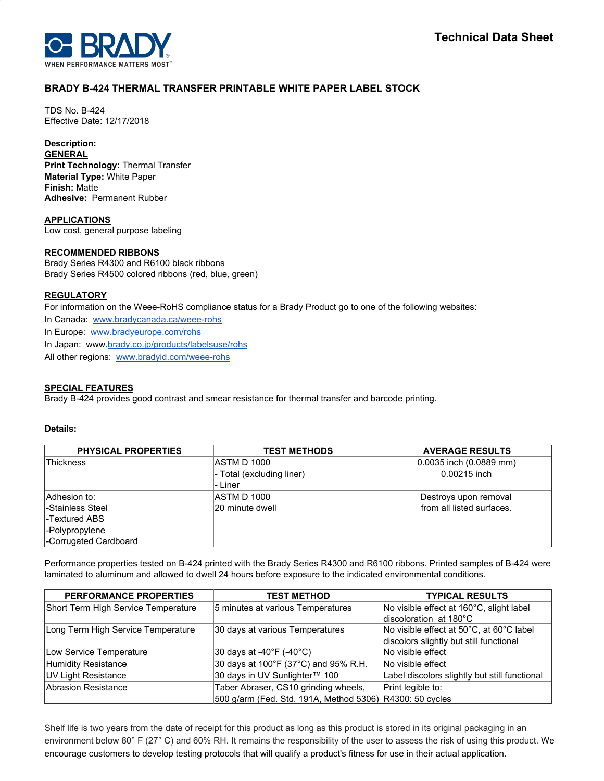

# **BRADY B-424 THERMAL TRANSFER PRINTABLE WHITE PAPER LABEL STOCK**

TDS No. B-424 Effective Date: 12/17/2018

# **Description:**

**GENERAL Print Technology:** Thermal Transfer **Material Type:** White Paper **Finish:** Matte **Adhesive:** Permanent Rubber

**APPLICATIONS** Low cost, general purpose labeling

# **RECOMMENDED RIBBONS**

Brady Series R4300 and R6100 black ribbons Brady Series R4500 colored ribbons (red, blue, green)

# **REGULATORY**

For information on the Weee-RoHS compliance status for a Brady Product go to one of the following websites:

In Canada: [www.bradycanada.ca/weee-rohs](http://www.bradycanada.ca/weee-rohs)

In Europe: [www.bradyeurope.com/rohs](http://www.bradyeurope.com/rohs)

In Japan: www.[brady.co.jp/products/labelsuse/rohs](https://brady.co.jp/products/labelsuse/rohs)

All other regions: [www.bradyid.com/weee-rohs](http://www.bradyid.com/weee-rohs)

# **SPECIAL FEATURES**

Brady B-424 provides good contrast and smear resistance for thermal transfer and barcode printing.

## **Details:**

| <b>PHYSICAL PROPERTIES</b> | <b>TEST METHODS</b>       | <b>AVERAGE RESULTS</b>    |
|----------------------------|---------------------------|---------------------------|
| Thickness                  | <b>ASTM D 1000</b>        | 0.0035 inch (0.0889 mm)   |
|                            | - Total (excluding liner) | 0.00215 inch              |
|                            | - Liner                   |                           |
| Adhesion to:               | <b>ASTM D 1000</b>        | Destroys upon removal     |
| l-Stainless Steel          | 20 minute dwell           | from all listed surfaces. |
| -Textured ABS              |                           |                           |
| -Polypropylene             |                           |                           |
| -Corrugated Cardboard      |                           |                           |

Performance properties tested on B-424 printed with the Brady Series R4300 and R6100 ribbons. Printed samples of B-424 were laminated to aluminum and allowed to dwell 24 hours before exposure to the indicated environmental conditions.

| <b>PERFORMANCE PROPERTIES</b>       | <b>TEST METHOD</b>                                       | <b>TYPICAL RESULTS</b>                        |
|-------------------------------------|----------------------------------------------------------|-----------------------------------------------|
| Short Term High Service Temperature | 5 minutes at various Temperatures                        | No visible effect at 160°C, slight label      |
|                                     |                                                          | discoloration at 180°C                        |
| Long Term High Service Temperature  | 30 days at various Temperatures                          | No visible effect at 50°C, at 60°C label      |
|                                     |                                                          | discolors slightly but still functional       |
| Low Service Temperature             | $ 30 \text{ days}$ at -40°F (-40°C)                      | No visible effect                             |
| Humidity Resistance                 | 30 days at 100°F (37°C) and 95% R.H.                     | No visible effect                             |
| UV Light Resistance                 | 30 days in UV Sunlighter™ 100                            | Label discolors slightly but still functional |
| Abrasion Resistance                 | Taber Abraser, CS10 grinding wheels,                     | Print legible to:                             |
|                                     | 500 g/arm (Fed. Std. 191A, Method 5306) R4300: 50 cycles |                                               |

Shelf life is two years from the date of receipt for this product as long as this product is stored in its original packaging in an environment below 80° F (27° C) and 60% RH. It remains the responsibility of the user to assess the risk of using this product. We encourage customers to develop testing protocols that will qualify a product's fitness for use in their actual application.